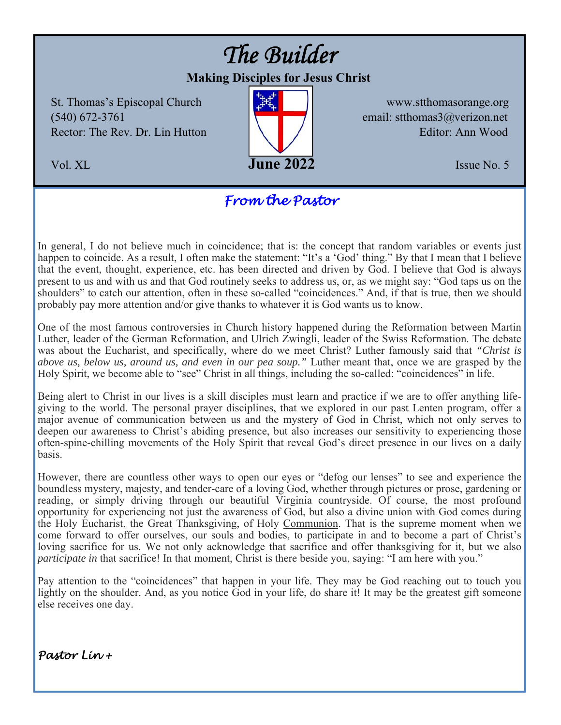# *The Builder*

# **Making Disciples for Jesus Christ**

St. Thomas's Episcopal Church **WELL WWW.stthomasorange.org**  $(540)$  672-3761 Rector: The Rev. Dr. Lin Hutton  $\left|\left|\left|\right|\right|\right|$  / Editor: Ann Wood



email: stthomas $3$ @verizon.net

# *From the Pastor*

In general, I do not believe much in coincidence; that is: the concept that random variables or events just happen to coincide. As a result, I often make the statement: "It's a 'God' thing." By that I mean that I believe that the event, thought, experience, etc. has been directed and driven by God. I believe that God is always present to us and with us and that God routinely seeks to address us, or, as we might say: "God taps us on the shoulders" to catch our attention, often in these so-called "coincidences." And, if that is true, then we should probably pay more attention and/or give thanks to whatever it is God wants us to know.

One of the most famous controversies in Church history happened during the Reformation between Martin Luther, leader of the German Reformation, and Ulrich Zwingli, leader of the Swiss Reformation. The debate was about the Eucharist, and specifically, where do we meet Christ? Luther famously said that *"Christ is above us, below us, around us, and even in our pea soup."* Luther meant that, once we are grasped by the Holy Spirit, we become able to "see" Christ in all things, including the so-called: "coincidences" in life.

Being alert to Christ in our lives is a skill disciples must learn and practice if we are to offer anything lifegiving to the world. The personal prayer disciplines, that we explored in our past Lenten program, offer a major avenue of communication between us and the mystery of God in Christ, which not only serves to deepen our awareness to Christ's abiding presence, but also increases our sensitivity to experiencing those often-spine-chilling movements of the Holy Spirit that reveal God's direct presence in our lives on a daily basis.

However, there are countless other ways to open our eyes or "defog our lenses" to see and experience the boundless mystery, majesty, and tender-care of a loving God, whether through pictures or prose, gardening or reading, or simply driving through our beautiful Virginia countryside. Of course, the most profound opportunity for experiencing not just the awareness of God, but also a divine union with God comes during the Holy Eucharist, the Great Thanksgiving, of Holy Communion. That is the supreme moment when we come forward to offer ourselves, our souls and bodies, to participate in and to become a part of Christ's loving sacrifice for us. We not only acknowledge that sacrifice and offer thanksgiving for it, but we also *participate in* that sacrifice! In that moment, Christ is there beside you, saying: "I am here with you."

Pay attention to the "coincidences" that happen in your life. They may be God reaching out to touch you lightly on the shoulder. And, as you notice God in your life, do share it! It may be the greatest gift someone else receives one day.

*Pastor Lin +*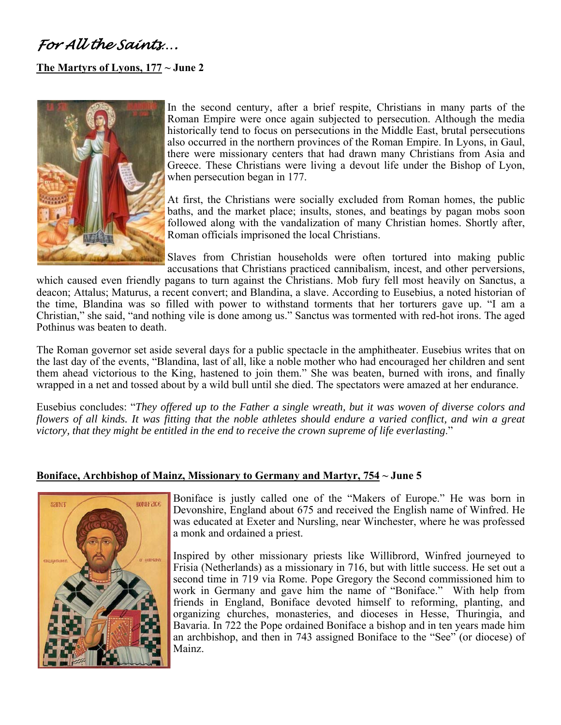# *For All the Saints….*

#### **The Martyrs of Lyons, 177 ~ June 2**



In the second century, after a brief respite, Christians in many parts of the Roman Empire were once again subjected to persecution. Although the media historically tend to focus on persecutions in the Middle East, brutal persecutions also occurred in the northern provinces of the Roman Empire. In Lyons, in Gaul, there were missionary centers that had drawn many Christians from Asia and Greece. These Christians were living a devout life under the Bishop of Lyon, when persecution began in 177.

At first, the Christians were socially excluded from Roman homes, the public baths, and the market place; insults, stones, and beatings by pagan mobs soon followed along with the vandalization of many Christian homes. Shortly after, Roman officials imprisoned the local Christians.

Slaves from Christian households were often tortured into making public accusations that Christians practiced cannibalism, incest, and other perversions,

which caused even friendly pagans to turn against the Christians. Mob fury fell most heavily on Sanctus, a deacon; Attalus; Maturus, a recent convert; and Blandina, a slave. According to Eusebius, a noted historian of the time, Blandina was so filled with power to withstand torments that her torturers gave up. "I am a Christian," she said, "and nothing vile is done among us." Sanctus was tormented with red-hot irons. The aged Pothinus was beaten to death.

The Roman governor set aside several days for a public spectacle in the amphitheater. Eusebius writes that on the last day of the events, "Blandina, last of all, like a noble mother who had encouraged her children and sent them ahead victorious to the King, hastened to join them." She was beaten, burned with irons, and finally wrapped in a net and tossed about by a wild bull until she died. The spectators were amazed at her endurance.

Eusebius concludes: "*They offered up to the Father a single wreath, but it was woven of diverse colors and flowers of all kinds. It was fitting that the noble athletes should endure a varied conflict, and win a great victory, that they might be entitled in the end to receive the crown supreme of life everlasting*."

#### **Boniface, Archbishop of Mainz, Missionary to Germany and Martyr, 754 ~ June 5**



Boniface is justly called one of the "Makers of Europe." He was born in Devonshire, England about 675 and received the English name of Winfred. He was educated at Exeter and Nursling, near Winchester, where he was professed a monk and ordained a priest.

Inspired by other missionary priests like Willibrord, Winfred journeyed to Frisia (Netherlands) as a missionary in 716, but with little success. He set out a second time in 719 via Rome. Pope Gregory the Second commissioned him to work in Germany and gave him the name of "Boniface." With help from friends in England, Boniface devoted himself to reforming, planting, and organizing churches, monasteries, and dioceses in Hesse, Thuringia, and Bavaria. In 722 the Pope ordained Boniface a bishop and in ten years made him an archbishop, and then in 743 assigned Boniface to the "See" (or diocese) of Mainz.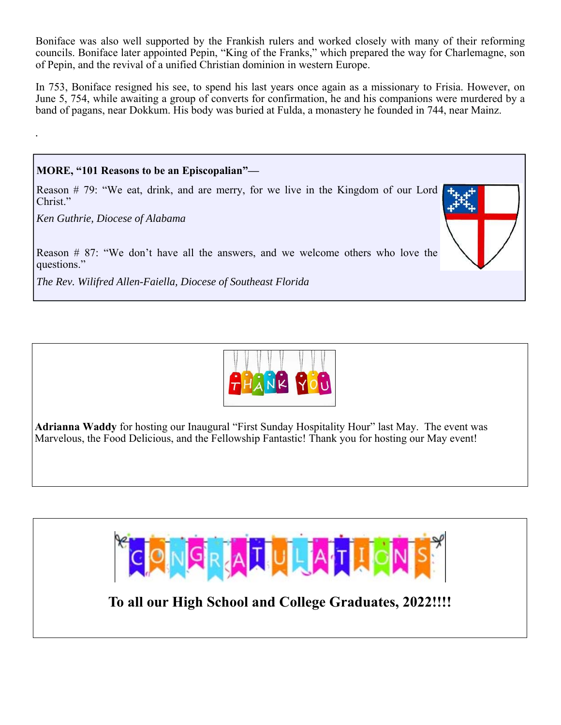Boniface was also well supported by the Frankish rulers and worked closely with many of their reforming councils. Boniface later appointed Pepin, "King of the Franks," which prepared the way for Charlemagne, son of Pepin, and the revival of a unified Christian dominion in western Europe.

In 753, Boniface resigned his see, to spend his last years once again as a missionary to Frisia. However, on June 5, 754, while awaiting a group of converts for confirmation, he and his companions were murdered by a band of pagans, near Dokkum. His body was buried at Fulda, a monastery he founded in 744, near Mainz.

*.*





**Adrianna Waddy** for hosting our Inaugural "First Sunday Hospitality Hour" last May. The event was Marvelous, the Food Delicious, and the Fellowship Fantastic! Thank you for hosting our May event!



**To all our High School and College Graduates, 2022!!!!**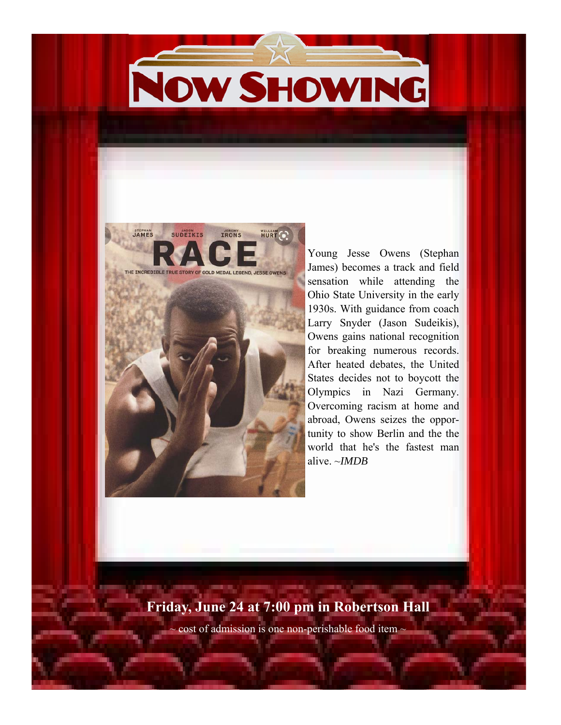# NOW SHOWING





Young Jesse Owens (Stephan James) becomes a track and field sensation while attending the Ohio State University in the early 1930s. With guidance from coach Larry Snyder (Jason Sudeikis), Owens gains national recognition for breaking numerous records. After heated debates, the United States decides not to boycott the Olympics in Nazi Germany. Overcoming racism at home and abroad, Owens seizes the opportunity to show Berlin and the the world that he's the fastest man alive. ~*IMDB* 

# **Friday, June 24 at 7:00 pm in Robertson Hall**

cost of admission is one non-perishable food item -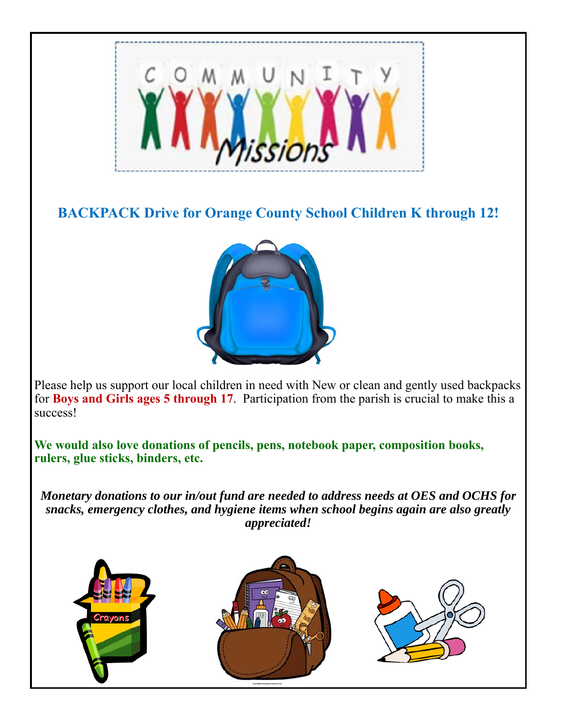

# **BACKPACK Drive for Orange County School Children K through 12!**



Please help us support our local children in need with New or clean and gently used backpacks for **Boys and Girls ages 5 through 17**. Participation from the parish is crucial to make this a success!

**We would also love donations of pencils, pens, notebook paper, composition books, rulers, glue sticks, binders, etc.** 

*Monetary donations to our in/out fund are needed to address needs at OES and OCHS for snacks, emergency clothes, and hygiene items when school begins again are also greatly appreciated!* 

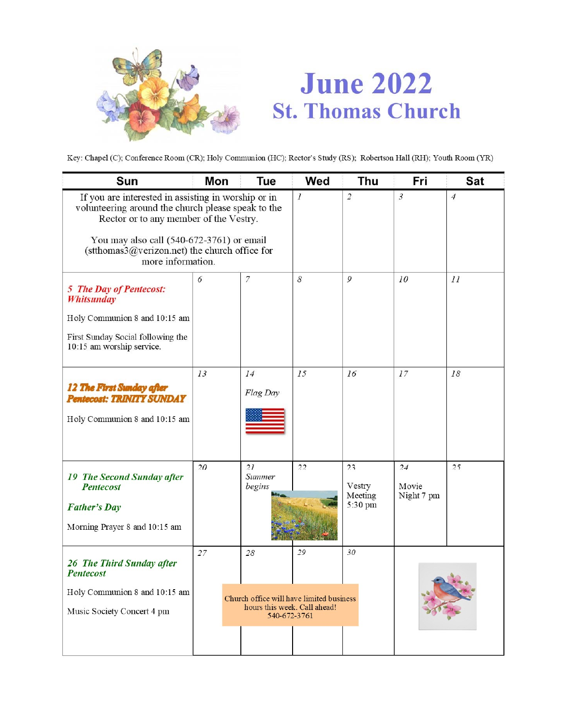

# **June 2022 St. Thomas Church**

Key: Chapel (C); Conference Room (CR); Holy Communion (HC); Rector's Study (RS); Robertson Hall (RH); Youth Room (YR)

| Sun                                                                                                                                                                                                                                                                    | Mon | <b>Tue</b>                                                                                     | Wed           | <b>Thu</b>                         | Fri                       | Sat            |
|------------------------------------------------------------------------------------------------------------------------------------------------------------------------------------------------------------------------------------------------------------------------|-----|------------------------------------------------------------------------------------------------|---------------|------------------------------------|---------------------------|----------------|
| If you are interested in assisting in worship or in<br>volunteering around the church please speak to the<br>Rector or to any member of the Vestry.<br>You may also call (540-672-3761) or email<br>(stthomas3@verizon.net) the church office for<br>more information. |     |                                                                                                | $\mathcal{I}$ | $\overline{2}$                     | $\mathfrak{Z}$            | $\overline{4}$ |
| 5 The Day of Pentecost:<br><b>Whitsunday</b><br>Holy Communion 8 and 10:15 am<br>First Sunday Social following the<br>10:15 am worship service.                                                                                                                        | 6   | $\overline{7}$                                                                                 | 8             | 9                                  | 10                        | II             |
| 12 The First Sunday after<br><b>Pentecost: TRINITY SUNDAY</b><br>Holy Communion 8 and 10:15 am                                                                                                                                                                         | 13  | 14<br>Flag Day                                                                                 | 15            | 16                                 | 17                        | 18             |
| <b>19 The Second Sunday after</b><br><b>Pentecost</b><br><b>Father's Day</b><br>Morning Prayer 8 and 10:15 am                                                                                                                                                          | 20  | 2I<br>Summer<br>begins                                                                         | 22            | 23<br>Vestry<br>Meeting<br>5:30 pm | 24<br>Movie<br>Night 7 pm | 25             |
| 26 The Third Sunday after<br><b>Pentecost</b><br>Holy Communion 8 and 10:15 am<br>Music Society Concert 4 pm                                                                                                                                                           | 27  | 28<br>Church office will have limited business<br>hours this week. Call ahead!<br>540-672-3761 | 29            | 30                                 |                           |                |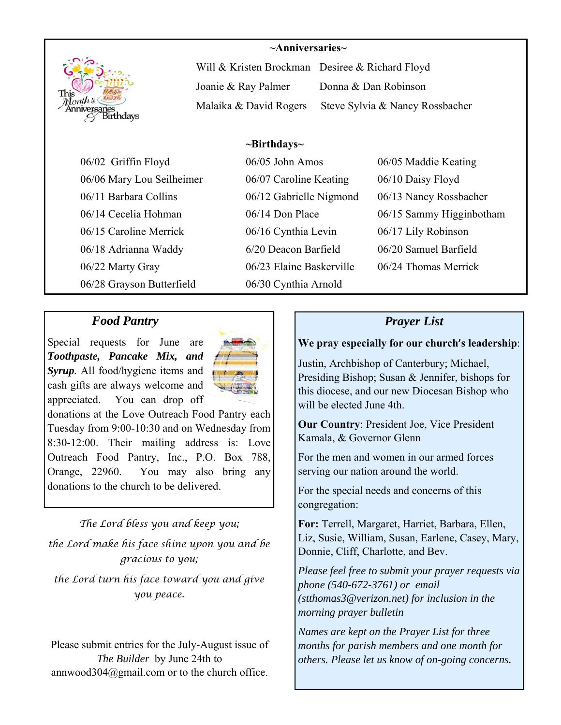

#### **~Anniversaries~**

Will & Kristen Brockman Desiree & Richard Floyd Joanie & Ray Palmer Donna & Dan Robinson Malaika & David Rogers Steve Sylvia & Nancy Rossbacher

### **~Birthdays~**

06/06 Mary Lou Seilheimer 06/07 Caroline Keating 06/10 Daisy Floyd 06/11 Barbara Collins 06/12 Gabrielle Nigmond 06/13 Nancy Rossbacher 06/15 Caroline Merrick 06/16 Cynthia Levin 06/17 Lily Robinson 06/18 Adrianna Waddy 6/20 Deacon Barfield 06/20 Samuel Barfield 06/22 Marty Gray 06/23 Elaine Baskerville 06/24 Thomas Merrick 06/28 Grayson Butterfield 06/30 Cynthia Arnold

06/02 Griffin Floyd 06/05 John Amos 06/05 Maddie Keating

06/14 Cecelia Hohman 06/14 Don Place 06/15 Sammy Higginbotham

# *Food Pantry*

Special requests for June are *Toothpaste, Pancake Mix, and Syrup.* All food/hygiene items and cash gifts are always welcome and appreciated. You can drop off



donations at the Love Outreach Food Pantry each Tuesday from 9:00-10:30 and on Wednesday from 8:30-12:00. Their mailing address is: Love Outreach Food Pantry, Inc., P.O. Box 788, Orange, 22960. You may also bring any donations to the church to be delivered.

## *The Lord bless you and keep you;*

*the Lord make his face shine upon you and be gracious to you;* 

*the Lord turn his face toward you and give you peace.* 

Please submit entries for the July-August issue of *The Builder* by June 24th to annwood304@gmail.com or to the church office.

## *Prayer List*

#### **We pray especially for our church's leadership**:

Justin, Archbishop of Canterbury; Michael, Presiding Bishop; Susan & Jennifer, bishops for this diocese, and our new Diocesan Bishop who will be elected June 4th.

**Our Country**: President Joe, Vice President Kamala, & Governor Glenn

For the men and women in our armed forces serving our nation around the world.

For the special needs and concerns of this congregation:

**For:** Terrell, Margaret, Harriet, Barbara, Ellen, Liz, Susie, William, Susan, Earlene, Casey, Mary, Donnie, Cliff, Charlotte, and Bev.

*Please feel free to submit your prayer requests via phone (540-672-3761) or email (stthomas3@verizon.net) for inclusion in the morning prayer bulletin* 

*Names are kept on the Prayer List for three months for parish members and one month for others. Please let us know of on-going concerns.*